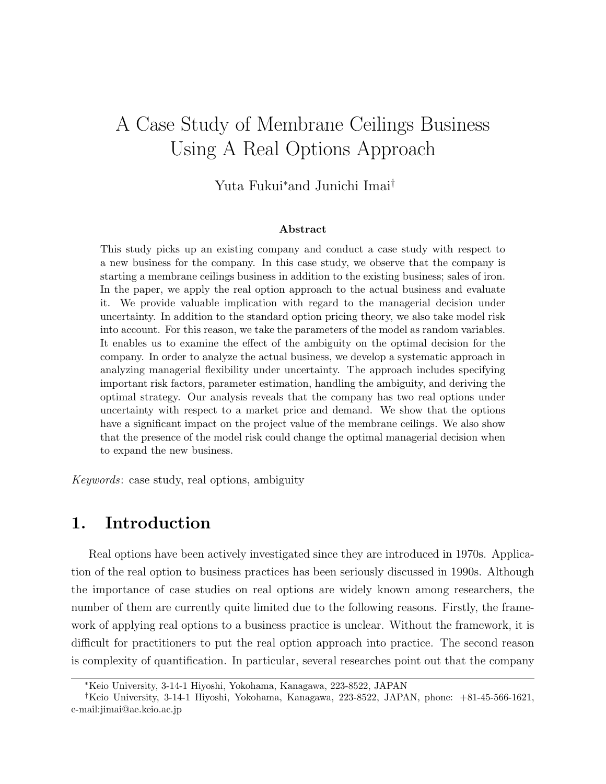# A Case Study of Membrane Ceilings Business Using A Real Options Approach

Yuta Fukui*∗*and Junichi Imai*†*

#### **Abstract**

This study picks up an existing company and conduct a case study with respect to a new business for the company. In this case study, we observe that the company is starting a membrane ceilings business in addition to the existing business; sales of iron. In the paper, we apply the real option approach to the actual business and evaluate it. We provide valuable implication with regard to the managerial decision under uncertainty. In addition to the standard option pricing theory, we also take model risk into account. For this reason, we take the parameters of the model as random variables. It enables us to examine the effect of the ambiguity on the optimal decision for the company. In order to analyze the actual business, we develop a systematic approach in analyzing managerial flexibility under uncertainty. The approach includes specifying important risk factors, parameter estimation, handling the ambiguity, and deriving the optimal strategy. Our analysis reveals that the company has two real options under uncertainty with respect to a market price and demand. We show that the options have a significant impact on the project value of the membrane ceilings. We also show that the presence of the model risk could change the optimal managerial decision when to expand the new business.

*Keywords*: case study, real options, ambiguity

## **1. Introduction**

Real options have been actively investigated since they are introduced in 1970s. Application of the real option to business practices has been seriously discussed in 1990s. Although the importance of case studies on real options are widely known among researchers, the number of them are currently quite limited due to the following reasons. Firstly, the framework of applying real options to a business practice is unclear. Without the framework, it is difficult for practitioners to put the real option approach into practice. The second reason is complexity of quantification. In particular, several researches point out that the company

*<sup>∗</sup>*Keio University, 3-14-1 Hiyoshi, Yokohama, Kanagawa, 223-8522, JAPAN

*<sup>†</sup>*Keio University, 3-14-1 Hiyoshi, Yokohama, Kanagawa, 223-8522, JAPAN, phone: +81-45-566-1621, e-mail:jimai@ae.keio.ac.jp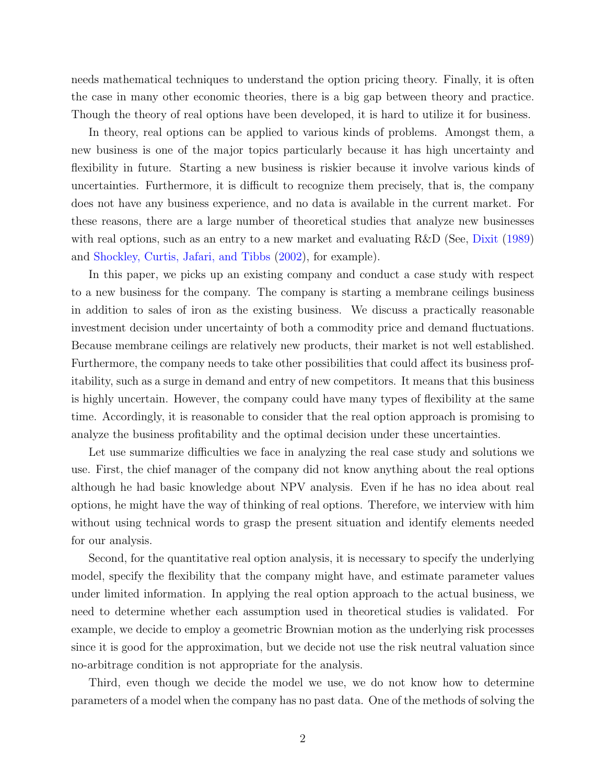needs mathematical techniques to understand the option pricing theory. Finally, it is often the case in many other economic theories, there is a big gap between theory and practice. Though the theory of real options have been developed, it is hard to utilize it for business.

In theory, real options can be applied to various kinds of problems. Amongst them, a new business is one of the major topics particularly because it has high uncertainty and flexibility in future. Starting a new business is riskier because it involve various kinds of uncertainties. Furthermore, it is difficult to recognize them precisely, that is, the company does not have any business experience, and no data is available in the current market. For these reasons, there are a large number of theoretical studies that analyze new businesses with real options, such as an entry to a new market and evaluating R&D (See, [Dixit](#page-21-0) [\(1989\)](#page-21-0) and [Shockley, Curtis, Jafari, and Tibbs](#page-21-1) [\(2002\)](#page-21-1), for example).

In this paper, we picks up an existing company and conduct a case study with respect to a new business for the company. The company is starting a membrane ceilings business in addition to sales of iron as the existing business. We discuss a practically reasonable investment decision under uncertainty of both a commodity price and demand fluctuations. Because membrane ceilings are relatively new products, their market is not well established. Furthermore, the company needs to take other possibilities that could affect its business profitability, such as a surge in demand and entry of new competitors. It means that this business is highly uncertain. However, the company could have many types of flexibility at the same time. Accordingly, it is reasonable to consider that the real option approach is promising to analyze the business profitability and the optimal decision under these uncertainties.

Let use summarize difficulties we face in analyzing the real case study and solutions we use. First, the chief manager of the company did not know anything about the real options although he had basic knowledge about NPV analysis. Even if he has no idea about real options, he might have the way of thinking of real options. Therefore, we interview with him without using technical words to grasp the present situation and identify elements needed for our analysis.

Second, for the quantitative real option analysis, it is necessary to specify the underlying model, specify the flexibility that the company might have, and estimate parameter values under limited information. In applying the real option approach to the actual business, we need to determine whether each assumption used in theoretical studies is validated. For example, we decide to employ a geometric Brownian motion as the underlying risk processes since it is good for the approximation, but we decide not use the risk neutral valuation since no-arbitrage condition is not appropriate for the analysis.

Third, even though we decide the model we use, we do not know how to determine parameters of a model when the company has no past data. One of the methods of solving the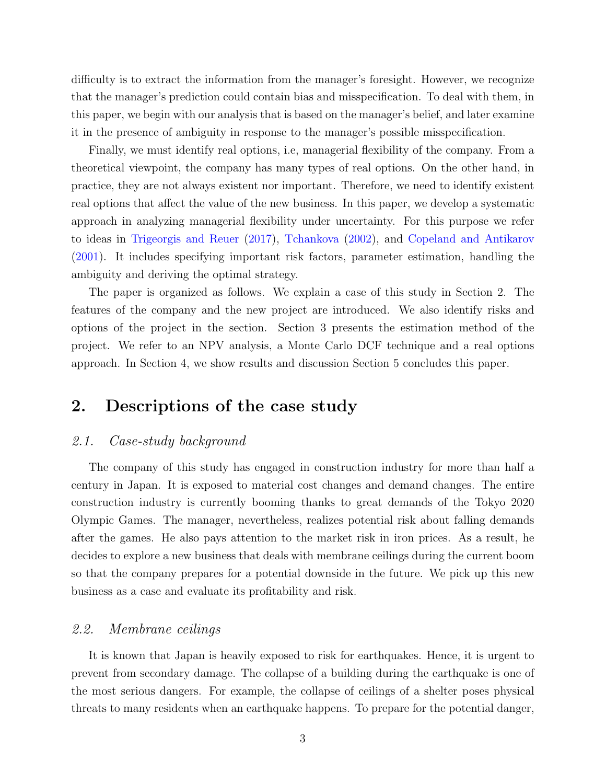difficulty is to extract the information from the manager's foresight. However, we recognize that the manager's prediction could contain bias and misspecification. To deal with them, in this paper, we begin with our analysis that is based on the manager's belief, and later examine it in the presence of ambiguity in response to the manager's possible misspecification.

Finally, we must identify real options, i.e, managerial flexibility of the company. From a theoretical viewpoint, the company has many types of real options. On the other hand, in practice, they are not always existent nor important. Therefore, we need to identify existent real options that affect the value of the new business. In this paper, we develop a systematic approach in analyzing managerial flexibility under uncertainty. For this purpose we refer to ideas in [Trigeorgis and Reuer](#page-21-2) [\(2017\)](#page-21-2), [Tchankova](#page-21-3) [\(2002\)](#page-21-3), and [Copeland and Antikarov](#page-21-4) [\(2001\)](#page-21-4). It includes specifying important risk factors, parameter estimation, handling the ambiguity and deriving the optimal strategy.

The paper is organized as follows. We explain a case of this study in Section 2. The features of the company and the new project are introduced. We also identify risks and options of the project in the section. Section 3 presents the estimation method of the project. We refer to an NPV analysis, a Monte Carlo DCF technique and a real options approach. In Section 4, we show results and discussion Section 5 concludes this paper.

## **2. Descriptions of the case study**

### *2.1. Case-study background*

The company of this study has engaged in construction industry for more than half a century in Japan. It is exposed to material cost changes and demand changes. The entire construction industry is currently booming thanks to great demands of the Tokyo 2020 Olympic Games. The manager, nevertheless, realizes potential risk about falling demands after the games. He also pays attention to the market risk in iron prices. As a result, he decides to explore a new business that deals with membrane ceilings during the current boom so that the company prepares for a potential downside in the future. We pick up this new business as a case and evaluate its profitability and risk.

### *2.2. Membrane ceilings*

It is known that Japan is heavily exposed to risk for earthquakes. Hence, it is urgent to prevent from secondary damage. The collapse of a building during the earthquake is one of the most serious dangers. For example, the collapse of ceilings of a shelter poses physical threats to many residents when an earthquake happens. To prepare for the potential danger,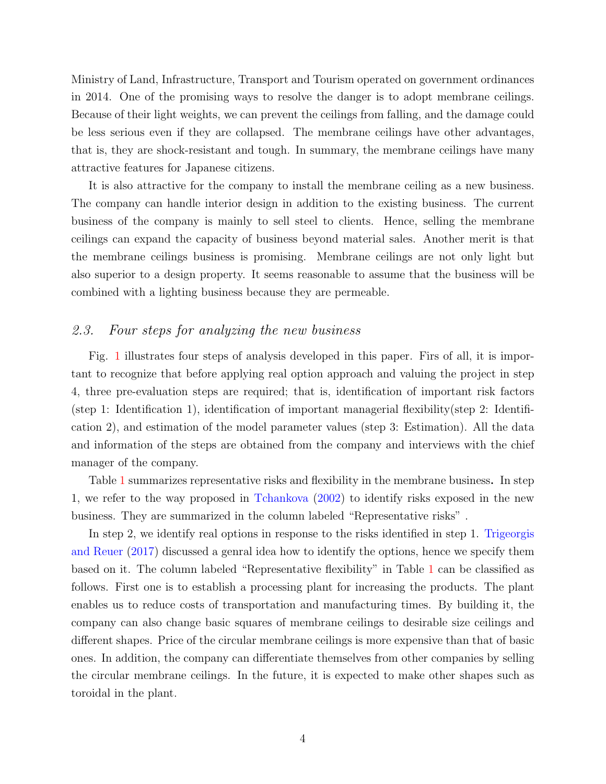Ministry of Land, Infrastructure, Transport and Tourism operated on government ordinances in 2014. One of the promising ways to resolve the danger is to adopt membrane ceilings. Because of their light weights, we can prevent the ceilings from falling, and the damage could be less serious even if they are collapsed. The membrane ceilings have other advantages, that is, they are shock-resistant and tough. In summary, the membrane ceilings have many attractive features for Japanese citizens.

It is also attractive for the company to install the membrane ceiling as a new business. The company can handle interior design in addition to the existing business. The current business of the company is mainly to sell steel to clients. Hence, selling the membrane ceilings can expand the capacity of business beyond material sales. Another merit is that the membrane ceilings business is promising. Membrane ceilings are not only light but also superior to a design property. It seems reasonable to assume that the business will be combined with a lighting business because they are permeable.

## *2.3. Four steps for analyzing the new business*

Fig. [1](#page-4-0) illustrates four steps of analysis developed in this paper. Firs of all, it is important to recognize that before applying real option approach and valuing the project in step 4, three pre-evaluation steps are required; that is, identification of important risk factors (step 1: Identification 1), identification of important managerial flexibility(step 2: Identification 2), and estimation of the model parameter values (step 3: Estimation). All the data and information of the steps are obtained from the company and interviews with the chief manager of the company.

Table [1](#page-5-0) summarizes representative risks and flexibility in the membrane business. In step 1, we refer to the way proposed in [Tchankova](#page-21-3) [\(2002\)](#page-21-3) to identify risks exposed in the new business. They are summarized in the column labeled "Representative risks" .

In step 2, we identify real options in response to the risks identified in step 1. [Trigeorgis](#page-21-2) [and Reuer](#page-21-2) [\(2017\)](#page-21-2) discussed a genral idea how to identify the options, hence we specify them based on it. The column labeled "Representative flexibility" in Table [1](#page-5-0) can be classified as follows. First one is to establish a processing plant for increasing the products. The plant enables us to reduce costs of transportation and manufacturing times. By building it, the company can also change basic squares of membrane ceilings to desirable size ceilings and different shapes. Price of the circular membrane ceilings is more expensive than that of basic ones. In addition, the company can differentiate themselves from other companies by selling the circular membrane ceilings. In the future, it is expected to make other shapes such as toroidal in the plant.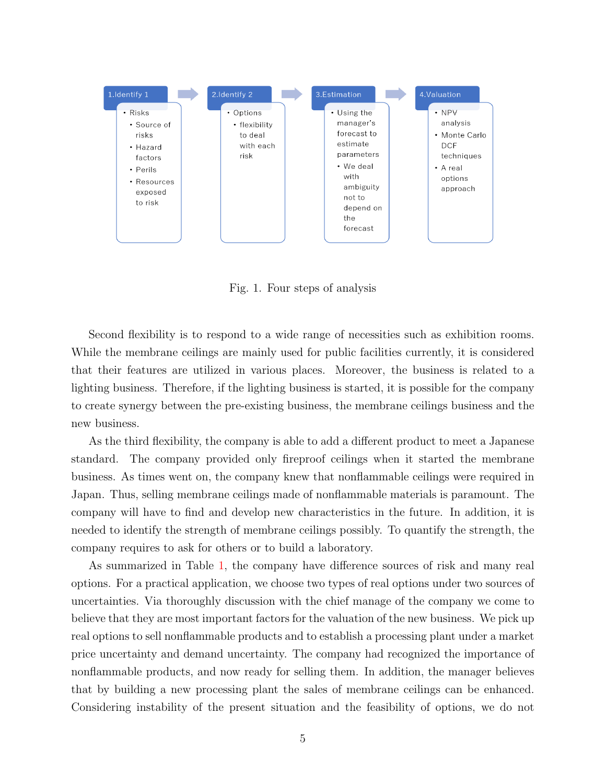

<span id="page-4-0"></span>Fig. 1. Four steps of analysis

Second flexibility is to respond to a wide range of necessities such as exhibition rooms. While the membrane ceilings are mainly used for public facilities currently, it is considered that their features are utilized in various places. Moreover, the business is related to a lighting business. Therefore, if the lighting business is started, it is possible for the company to create synergy between the pre-existing business, the membrane ceilings business and the new business.

As the third flexibility, the company is able to add a different product to meet a Japanese standard. The company provided only fireproof ceilings when it started the membrane business. As times went on, the company knew that nonflammable ceilings were required in Japan. Thus, selling membrane ceilings made of nonflammable materials is paramount. The company will have to find and develop new characteristics in the future. In addition, it is needed to identify the strength of membrane ceilings possibly. To quantify the strength, the company requires to ask for others or to build a laboratory.

As summarized in Table [1,](#page-5-0) the company have difference sources of risk and many real options. For a practical application, we choose two types of real options under two sources of uncertainties. Via thoroughly discussion with the chief manage of the company we come to believe that they are most important factors for the valuation of the new business. We pick up real options to sell nonflammable products and to establish a processing plant under a market price uncertainty and demand uncertainty. The company had recognized the importance of nonflammable products, and now ready for selling them. In addition, the manager believes that by building a new processing plant the sales of membrane ceilings can be enhanced. Considering instability of the present situation and the feasibility of options, we do not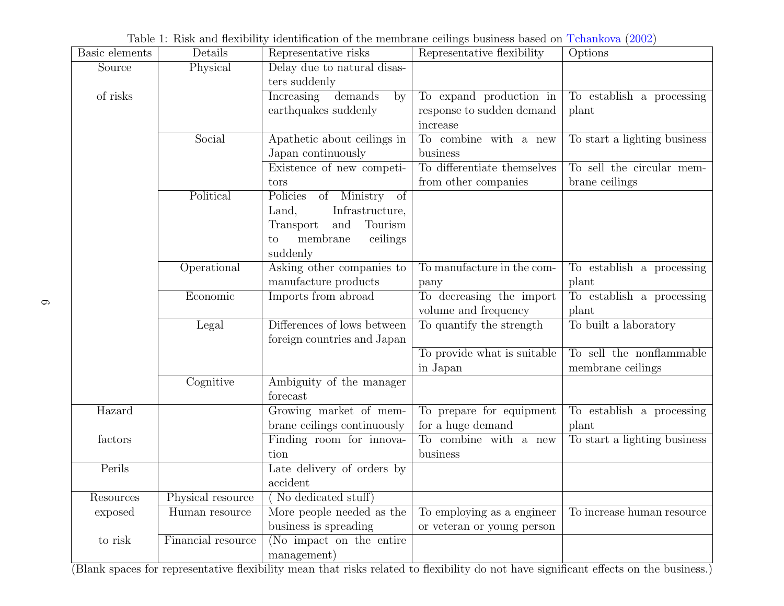|                |                    | Table 1. TUSK and nextrintly identification of the membrane centrigs business based on Tchankova (2002) |                             |                              |
|----------------|--------------------|---------------------------------------------------------------------------------------------------------|-----------------------------|------------------------------|
| Basic elements | Details            | Representative risks                                                                                    | Representative flexibility  | Options                      |
| Source         | Physical           | Delay due to natural disas-                                                                             |                             |                              |
|                |                    | ters suddenly                                                                                           |                             |                              |
| of risks       |                    | Increasing<br>demands<br>by                                                                             | To expand production in     | To establish a processing    |
|                |                    | earthquakes suddenly                                                                                    | response to sudden demand   | plant                        |
|                |                    |                                                                                                         | increase                    |                              |
|                | Social             | Apathetic about ceilings in                                                                             | To combine with a new       | To start a lighting business |
|                |                    | Japan continuously                                                                                      | business                    |                              |
|                |                    | Existence of new competi-                                                                               | To differentiate themselves | To sell the circular mem-    |
|                |                    | tors                                                                                                    | from other companies        | brane ceilings               |
|                | Political          | Policies<br>of Ministry of                                                                              |                             |                              |
|                |                    | Infrastructure,<br>Land,                                                                                |                             |                              |
|                |                    | Transport<br>Tourism<br>and                                                                             |                             |                              |
|                |                    | membrane<br>ceilings<br>to                                                                              |                             |                              |
|                |                    | suddenly                                                                                                |                             |                              |
|                | Operational        | Asking other companies to                                                                               | To manufacture in the com-  | To establish a processing    |
|                |                    | manufacture products                                                                                    | pany                        | plant                        |
|                | Economic           | Imports from abroad                                                                                     | To decreasing the import    | To establish a processing    |
|                |                    |                                                                                                         | volume and frequency        | plant                        |
|                | Legal              | Differences of lows between                                                                             | To quantify the strength    | To built a laboratory        |
|                |                    | foreign countries and Japan                                                                             |                             |                              |
|                |                    |                                                                                                         | To provide what is suitable | To sell the nonflammable     |
|                |                    |                                                                                                         | in Japan                    | membrane ceilings            |
|                | Cognitive          | Ambiguity of the manager                                                                                |                             |                              |
|                |                    | forecast                                                                                                |                             |                              |
| Hazard         |                    | Growing market of mem-                                                                                  | To prepare for equipment    | To establish a processing    |
|                |                    | brane ceilings continuously                                                                             | for a huge demand           | plant                        |
| factors        |                    | Finding room for innova-                                                                                | To combine with a new       | To start a lighting business |
|                |                    | tion                                                                                                    | business                    |                              |
| Perils         |                    | Late delivery of orders by                                                                              |                             |                              |
|                |                    | accident                                                                                                |                             |                              |
| Resources      | Physical resource  | No dedicated stuff)                                                                                     |                             |                              |
| exposed        | Human resource     | More people needed as the                                                                               | To employing as a engineer  | To increase human resource   |
|                |                    | business is spreading                                                                                   | or veteran or young person  |                              |
| to risk        | Financial resource | (No impact on the entire                                                                                |                             |                              |
|                |                    | management)                                                                                             |                             |                              |

Table 1: Risk and flexibility identification of the membrane ceilings business based on [Tchankova](#page-21-5) [\(2002\)](#page-21-5)

<span id="page-5-0"></span>management) (Blank spaces for representative flexibility mean that risks related to flexibility do not have significant effects on the business.)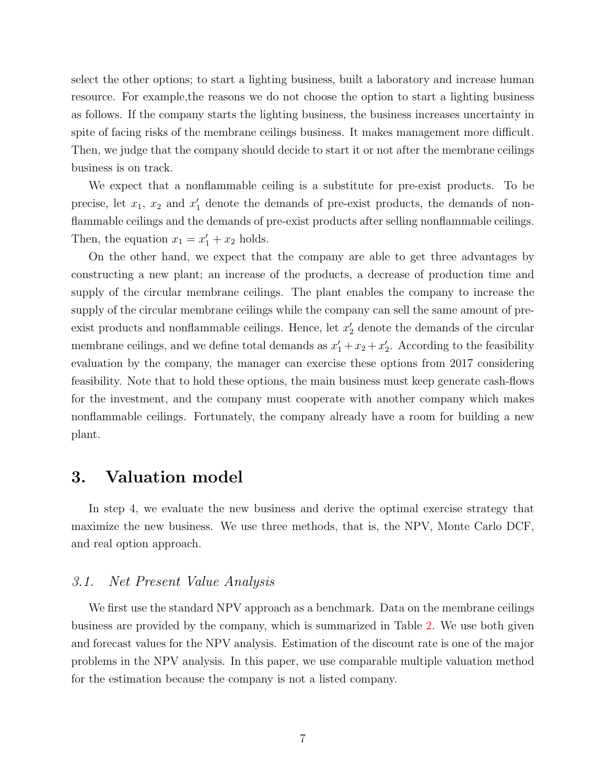select the other options; to start a lighting business, built a laboratory and increase human resource. For example,the reasons we do not choose the option to start a lighting business as follows. If the company starts the lighting business, the business increases uncertainty in spite of facing risks of the membrane ceilings business. It makes management more difficult. Then, we judge that the company should decide to start it or not after the membrane ceilings business is on track.

We expect that a nonflammable ceiling is a substitute for pre-exist products. To be precise, let *x*1, *x*<sup>2</sup> and *x ′* <sup>1</sup> denote the demands of pre-exist products, the demands of nonflammable ceilings and the demands of pre-exist products after selling nonflammable ceilings. Then, the equation  $x_1 = x'_1 + x_2$  holds.

On the other hand, we expect that the company are able to get three advantages by constructing a new plant; an increase of the products, a decrease of production time and supply of the circular membrane ceilings. The plant enables the company to increase the supply of the circular membrane ceilings while the company can sell the same amount of preexist products and nonflammable ceilings. Hence, let *x ′* <sup>2</sup> denote the demands of the circular membrane ceilings, and we define total demands as  $x'_1 + x_2 + x'_2$ . According to the feasibility evaluation by the company, the manager can exercise these options from 2017 considering feasibility. Note that to hold these options, the main business must keep generate cash-flows for the investment, and the company must cooperate with another company which makes nonflammable ceilings. Fortunately, the company already have a room for building a new plant.

## **3. Valuation model**

In step 4, we evaluate the new business and derive the optimal exercise strategy that maximize the new business. We use three methods, that is, the NPV, Monte Carlo DCF, and real option approach.

### *3.1. Net Present Value Analysis*

We first use the standard NPV approach as a benchmark. Data on the membrane ceilings business are provided by the company, which is summarized in Table [2.](#page-7-0) We use both given and forecast values for the NPV analysis. Estimation of the discount rate is one of the major problems in the NPV analysis. In this paper, we use comparable multiple valuation method for the estimation because the company is not a listed company.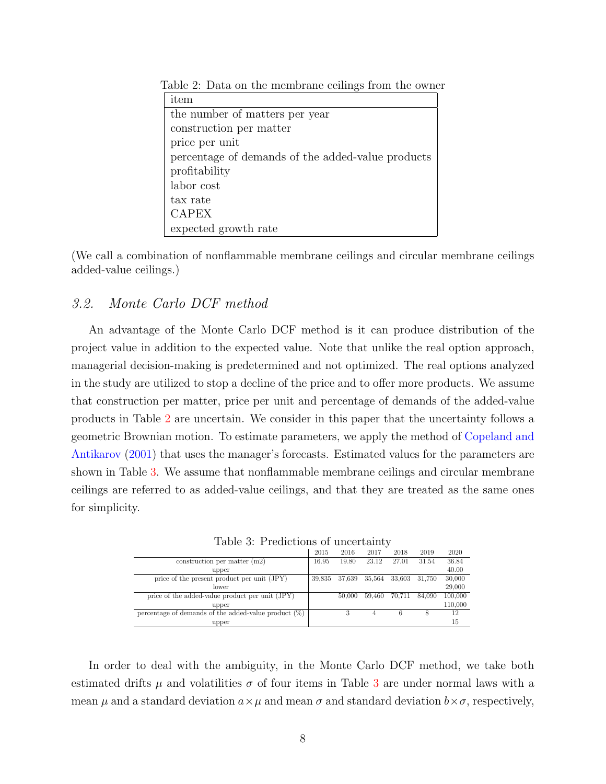<span id="page-7-0"></span>

| item                                              |
|---------------------------------------------------|
| the number of matters per year                    |
| construction per matter                           |
| price per unit                                    |
| percentage of demands of the added-value products |
| profitability                                     |
| labor cost                                        |
| tax rate                                          |
| <b>CAPEX</b>                                      |
| expected growth rate                              |

Table 2: Data on the membrane ceilings from the owner

(We call a combination of nonflammable membrane ceilings and circular membrane ceilings added-value ceilings.)

### *3.2. Monte Carlo DCF method*

An advantage of the Monte Carlo DCF method is it can produce distribution of the project value in addition to the expected value. Note that unlike the real option approach, managerial decision-making is predetermined and not optimized. The real options analyzed in the study are utilized to stop a decline of the price and to offer more products. We assume that construction per matter, price per unit and percentage of demands of the added-value products in Table [2](#page-7-0) are uncertain. We consider in this paper that the uncertainty follows a geometric Brownian motion. To estimate parameters, we apply the method of [Copeland and](#page-21-4) [Antikarov](#page-21-4) [\(2001\)](#page-21-4) that uses the manager's forecasts. Estimated values for the parameters are shown in Table [3.](#page-7-1) We assume that nonflammable membrane ceilings and circular membrane ceilings are referred to as added-value ceilings, and that they are treated as the same ones for simplicity.

|                                                         | 2015   | 2016   | 2017   | 2018   | 2019   | 2020    |
|---------------------------------------------------------|--------|--------|--------|--------|--------|---------|
| construction per matter $(m2)$                          | 16.95  | 19.80  | 23.12  | 27.01  | 31.54  | 36.84   |
| upper                                                   |        |        |        |        |        | 40.00   |
| price of the present product per unit (JPY)             | 39,835 | 37,639 | 35,564 | 33,603 | 31,750 | 30,000  |
| lower                                                   |        |        |        |        |        | 29,000  |
| price of the added-value product per unit (JPY)         |        | 50,000 | 59.460 | 70,711 | 84,090 | 100,000 |
| upper                                                   |        |        |        |        |        | 110,000 |
| percentage of demands of the added-value product $(\%)$ |        |        | 4      | 6      | 8      | 12      |
| upper                                                   |        |        |        |        |        | 15      |

<span id="page-7-1"></span>Table 3: Predictions of uncertainty

In order to deal with the ambiguity, in the Monte Carlo DCF method, we take both estimated drifts  $\mu$  and volatilities  $\sigma$  of four items in Table [3](#page-7-1) are under normal laws with a mean  $\mu$  and a standard deviation  $a \times \mu$  and mean  $\sigma$  and standard deviation  $b \times \sigma$ , respectively,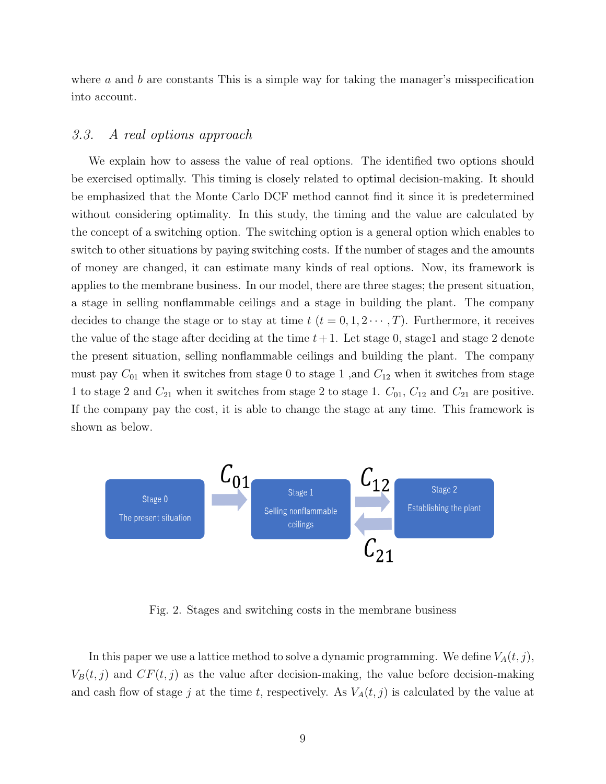where *a* and *b* are constants This is a simple way for taking the manager's misspecification into account.

### <span id="page-8-0"></span>*3.3. A real options approach*

We explain how to assess the value of real options. The identified two options should be exercised optimally. This timing is closely related to optimal decision-making. It should be emphasized that the Monte Carlo DCF method cannot find it since it is predetermined without considering optimality. In this study, the timing and the value are calculated by the concept of a switching option. The switching option is a general option which enables to switch to other situations by paying switching costs. If the number of stages and the amounts of money are changed, it can estimate many kinds of real options. Now, its framework is applies to the membrane business. In our model, there are three stages; the present situation, a stage in selling nonflammable ceilings and a stage in building the plant. The company decides to change the stage or to stay at time  $t$  ( $t = 0, 1, 2 \cdots, T$ ). Furthermore, it receives the value of the stage after deciding at the time  $t+1$ . Let stage 0, stage1 and stage 2 denote the present situation, selling nonflammable ceilings and building the plant. The company must pay  $C_{01}$  when it switches from stage 0 to stage 1, and  $C_{12}$  when it switches from stage 1 to stage 2 and *C*<sup>21</sup> when it switches from stage 2 to stage 1. *C*01, *C*<sup>12</sup> and *C*<sup>21</sup> are positive. If the company pay the cost, it is able to change the stage at any time. This framework is shown as below.



Fig. 2. Stages and switching costs in the membrane business

In this paper we use a lattice method to solve a dynamic programming. We define  $V_A(t, j)$ ,  $V_B(t, j)$  and  $CF(t, j)$  as the value after decision-making, the value before decision-making and cash flow of stage *j* at the time *t*, respectively. As  $V_A(t, j)$  is calculated by the value at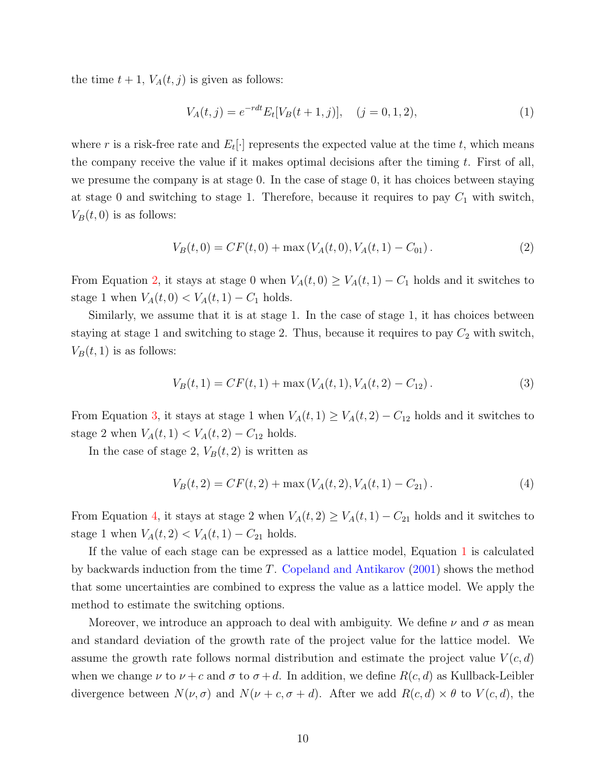the time  $t + 1$ ,  $V_A(t, j)$  is given as follows:

<span id="page-9-3"></span>
$$
V_A(t,j) = e^{-rdt} E_t[V_B(t+1,j)], \quad (j = 0, 1, 2), \tag{1}
$$

where  $r$  is a risk-free rate and  $E_t[\cdot]$  represents the expected value at the time  $t$ , which means the company receive the value if it makes optimal decisions after the timing *t*. First of all, we presume the company is at stage 0. In the case of stage 0, it has choices between staying at stage 0 and switching to stage 1. Therefore, because it requires to pay  $C_1$  with switch,  $V_B(t,0)$  is as follows:

<span id="page-9-0"></span>
$$
V_B(t,0) = CF(t,0) + \max(V_A(t,0), V_A(t,1) - C_{01}).
$$
\n(2)

From Equation [2,](#page-9-0) it stays at stage 0 when  $V_A(t, 0) \geq V_A(t, 1) - C_1$  holds and it switches to stage 1 when  $V_A(t, 0) < V_A(t, 1) - C_1$  holds.

Similarly, we assume that it is at stage 1. In the case of stage 1, it has choices between staying at stage 1 and switching to stage 2. Thus, because it requires to pay  $C_2$  with switch,  $V_B(t, 1)$  is as follows:

<span id="page-9-1"></span>
$$
V_B(t,1) = CF(t,1) + \max(V_A(t,1), V_A(t,2) - C_{12}).
$$
\n(3)

From Equation [3,](#page-9-1) it stays at stage 1 when  $V_A(t,1) \geq V_A(t,2) - C_{12}$  holds and it switches to stage 2 when  $V_A(t, 1) < V_A(t, 2) - C_{12}$  holds.

In the case of stage 2,  $V_B(t, 2)$  is written as

<span id="page-9-2"></span>
$$
V_B(t,2) = CF(t,2) + \max(V_A(t,2), V_A(t,1) - C_{21}).
$$
\n(4)

From Equation [4,](#page-9-2) it stays at stage 2 when  $V_A(t, 2) \geq V_A(t, 1) - C_{21}$  holds and it switches to stage 1 when  $V_A(t, 2) < V_A(t, 1) - C_{21}$  holds.

If the value of each stage can be expressed as a lattice model, Equation [1](#page-9-3) is calculated by backwards induction from the time *T*. [Copeland and Antikarov](#page-21-4) [\(2001\)](#page-21-4) shows the method that some uncertainties are combined to express the value as a lattice model. We apply the method to estimate the switching options.

Moreover, we introduce an approach to deal with ambiguity. We define  $\nu$  and  $\sigma$  as mean and standard deviation of the growth rate of the project value for the lattice model. We assume the growth rate follows normal distribution and estimate the project value  $V(c, d)$ when we change  $\nu$  to  $\nu + c$  and  $\sigma$  to  $\sigma + d$ . In addition, we define  $R(c, d)$  as Kullback-Leibler divergence between  $N(\nu, \sigma)$  and  $N(\nu + c, \sigma + d)$ . After we add  $R(c, d) \times \theta$  to  $V(c, d)$ , the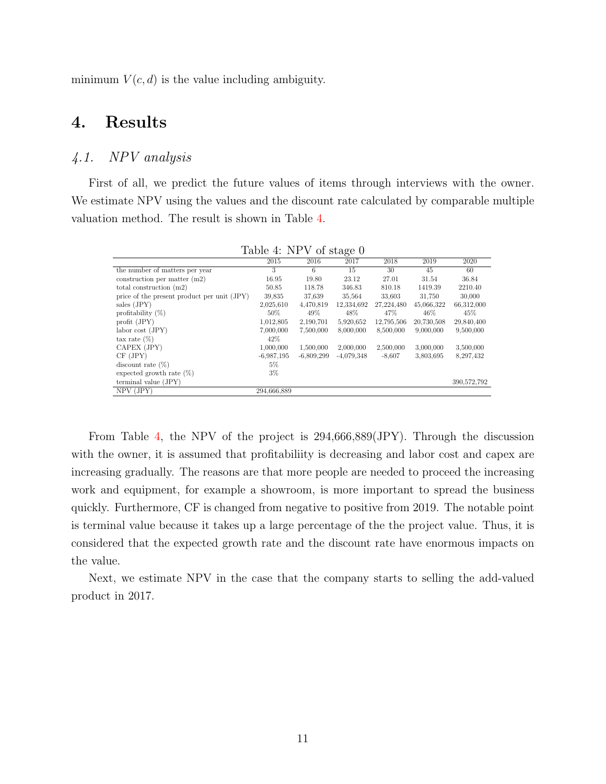minimum  $V(c, d)$  is the value including ambiguity.

## **4. Results**

## <span id="page-10-1"></span>*4.1. NPV analysis*

First of all, we predict the future values of items through interviews with the owner. We estimate NPV using the values and the discount rate calculated by comparable multiple valuation method. The result is shown in Table [4.](#page-10-0)

|                                             | TWO IS IT IT A OI DOUG O |              |              |            |            |             |
|---------------------------------------------|--------------------------|--------------|--------------|------------|------------|-------------|
|                                             | 2015                     | 2016         | 2017         | 2018       | 2019       | 2020        |
| the number of matters per year              | 3                        | 6            | 15           | 30         | 45         | 60          |
| construction per matter $(m2)$              | 16.95                    | 19.80        | 23.12        | 27.01      | 31.54      | 36.84       |
| total construction $(m2)$                   | 50.85                    | 118.78       | 346.83       | 810.18     | 1419.39    | 2210.40     |
| price of the present product per unit (JPY) | 39,835                   | 37,639       | 35,564       | 33,603     | 31,750     | 30,000      |
| sales (JPY)                                 | 2,025,610                | 4,470,819    | 12,334,692   | 27,224,480 | 45,066,322 | 66,312,000  |
| profitability $(\%)$                        | $50\%$                   | 49%          | 48%          | 47%        | 46%        | 45%         |
| profit (JPY)                                | 1,012,805                | 2,190,701    | 5,920,652    | 12,795,506 | 20,730,508 | 29,840,400  |
| labor cost (JPY)                            | 7,000,000                | 7,500,000    | 8,000,000    | 8,500,000  | 9,000,000  | 9,500,000   |
| tax rate $(\%)$                             | $42\%$                   |              |              |            |            |             |
| CAPEX (JPY)                                 | 1,000,000                | 1,500,000    | 2,000,000    | 2,500,000  | 3,000,000  | 3,500,000   |
| CF(JPY)                                     | $-6.987,195$             | $-6,809,299$ | $-4,079,348$ | $-8,607$   | 3,803,695  | 8,297,432   |
| discount rate $(\%)$                        | 5%                       |              |              |            |            |             |
| expected growth rate $(\%)$                 | $3\%$                    |              |              |            |            |             |
| terminal value (JPY)                        |                          |              |              |            |            | 390,572,792 |
| $NPV$ (JPY)                                 | 294,666,889              |              |              |            |            |             |

<span id="page-10-0"></span>Table  $4$  NPV of stage  $0$ 

From Table [4,](#page-10-0) the NPV of the project is 294,666,889(JPY). Through the discussion with the owner, it is assumed that profitabiliity is decreasing and labor cost and capex are increasing gradually. The reasons are that more people are needed to proceed the increasing work and equipment, for example a showroom, is more important to spread the business quickly. Furthermore, CF is changed from negative to positive from 2019. The notable point is terminal value because it takes up a large percentage of the the project value. Thus, it is considered that the expected growth rate and the discount rate have enormous impacts on the value.

Next, we estimate NPV in the case that the company starts to selling the add-valued product in 2017.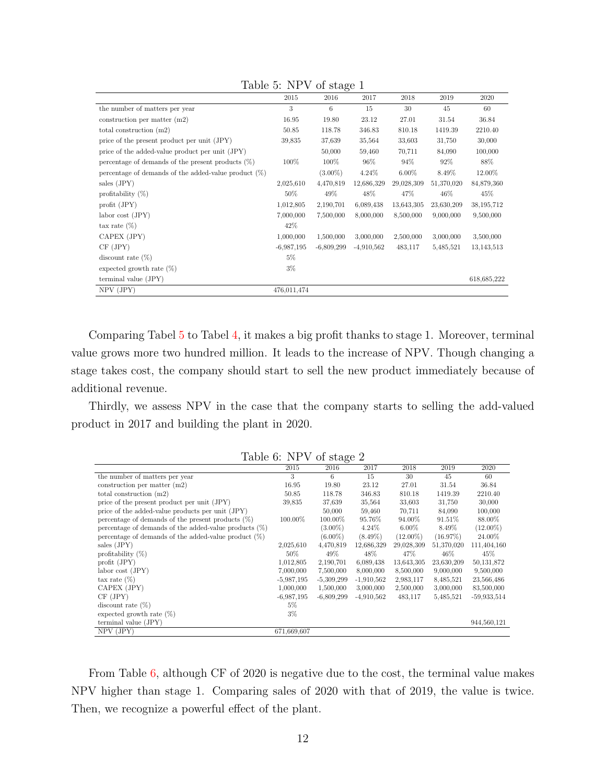|                                                         | 2015         | ັ<br>2016    | 2017         | 2018       | 2019       | 2020        |
|---------------------------------------------------------|--------------|--------------|--------------|------------|------------|-------------|
| the number of matters per year                          | 3            | 6            | 15           | 30         | 45         | 60          |
| construction per matter $(m2)$                          | 16.95        | 19.80        | 23.12        | 27.01      | 31.54      | 36.84       |
| total construction $(m2)$                               | 50.85        | 118.78       | 346.83       | 810.18     | 1419.39    | 2210.40     |
| price of the present product per unit (JPY)             | 39,835       | 37,639       | 35,564       | 33,603     | 31,750     | 30,000      |
| price of the added-value product per unit (JPY)         |              | 50,000       | 59,460       | 70,711     | 84,090     | 100,000     |
| percentage of demands of the present products $(\%)$    | 100%         | 100%         | 96%          | 94%        | 92\%       | 88%         |
| percentage of demands of the added-value product $(\%)$ |              | $(3.00\%)$   | $4.24\%$     | $6.00\%$   | 8.49%      | 12.00%      |
| sales (JPY)                                             | 2,025,610    | 4,470,819    | 12,686,329   | 29,028,309 | 51,370,020 | 84,879,360  |
| profitability $(\%)$                                    | 50%          | 49%          | 48%          | 47\%       | $46\%$     | 45\%        |
| profit (JPY)                                            | 1,012,805    | 2,190,701    | 6,089,438    | 13,643,305 | 23,630,209 | 38,195,712  |
| $\lambda$ labor cost (JPY)                              | 7,000,000    | 7,500,000    | 8,000,000    | 8,500,000  | 9,000,000  | 9,500,000   |
| $\text{tax rate } (\%)$                                 | 42\%         |              |              |            |            |             |
| CAPEX (JPY)                                             | 1,000,000    | 1,500,000    | 3,000,000    | 2,500,000  | 3,000,000  | 3,500,000   |
| CF(JPY)                                                 | $-6,987,195$ | $-6,809,299$ | $-4.910.562$ | 483,117    | 5,485,521  | 13,143,513  |
| discount rate $(\%)$                                    | 5%           |              |              |            |            |             |
| expected growth rate $(\%)$                             | $3\%$        |              |              |            |            |             |
| terminal value (JPY)                                    |              |              |              |            |            | 618,685,222 |
| $NPV$ (JPY)                                             | 476,011,474  |              |              |            |            |             |

<span id="page-11-0"></span>Table 5: NPV of stage 1

Comparing Tabel [5](#page-11-0) to Tabel [4,](#page-10-0) it makes a big profit thanks to stage 1. Moreover, terminal value grows more two hundred million. It leads to the increase of NPV. Though changing a stage takes cost, the company should start to sell the new product immediately because of additional revenue.

Thirdly, we assess NPV in the case that the company starts to selling the add-valued product in 2017 and building the plant in 2020.

|                                                          |              | $- - - - -$  |              |             |            |               |
|----------------------------------------------------------|--------------|--------------|--------------|-------------|------------|---------------|
|                                                          | 2015         | 2016         | 2017         | 2018        | 2019       | 2020          |
| the number of matters per year                           | 3            | 6            | 15           | 30          | 45         | 60            |
| construction per matter $(m2)$                           | 16.95        | 19.80        | 23.12        | 27.01       | 31.54      | 36.84         |
| total construction $(m2)$                                | 50.85        | 118.78       | 346.83       | 810.18      | 1419.39    | 2210.40       |
| price of the present product per unit (JPY)              | 39,835       | 37,639       | 35,564       | 33,603      | 31,750     | 30,000        |
| price of the added-value products per unit (JPY)         |              | 50,000       | 59,460       | 70,711      | 84,090     | 100,000       |
| percentage of demands of the present products $(\%)$     | 100.00%      | 100.00%      | 95.76%       | 94.00%      | 91.51\%    | 88.00%        |
| percentage of demands of the added-value products $(\%)$ |              | $(3.00\%)$   | 4.24\%       | $6.00\%$    | 8.49%      | $(12.00\%)$   |
| percentage of demands of the added-value product $(\%)$  |              | $(6.00\%)$   | $(8.49\%)$   | $(12.00\%)$ | (16.97%)   | 24.00%        |
| sales (JPY)                                              | 2,025,610    | 4,470,819    | 12,686,329   | 29,028,309  | 51,370,020 | 111,404,160   |
| profitability $(\%)$                                     | $50\%$       | 49%          | 48%          | 47\%        | $46\%$     | 45\%          |
| profit $(JPY)$                                           | 1,012,805    | 2,190,701    | 6,089,438    | 13,643,305  | 23,630,209 | 50, 131, 872  |
| labor cost (JPY)                                         | 7,000,000    | 7,500,000    | 8,000,000    | 8,500,000   | 9,000,000  | 9,500,000     |
| tax rate $(\%)$                                          | $-5,987,195$ | $-5,309,299$ | $-1,910,562$ | 2,983,117   | 8,485,521  | 23,566,486    |
| CAPEX (JPY)                                              | 1,000,000    | 1,500,000    | 3,000,000    | 2,500,000   | 3,000,000  | 83,500,000    |
| CF(JPY)                                                  | $-6.987,195$ | $-6,809,299$ | $-4,910,562$ | 483,117     | 5,485,521  | $-59.933.514$ |
| discount rate $(\%)$                                     | $5\%$        |              |              |             |            |               |
| expected growth rate $(\%)$                              | $3\%$        |              |              |             |            |               |
| terminal value (JPY)                                     |              |              |              |             |            | 944,560,121   |
| NPV (JPY)                                                | 671,669,607  |              |              |             |            |               |

<span id="page-11-1"></span>Table 6: NPV of stage 2

From Table [6,](#page-11-1) although CF of 2020 is negative due to the cost, the terminal value makes NPV higher than stage 1. Comparing sales of 2020 with that of 2019, the value is twice. Then, we recognize a powerful effect of the plant.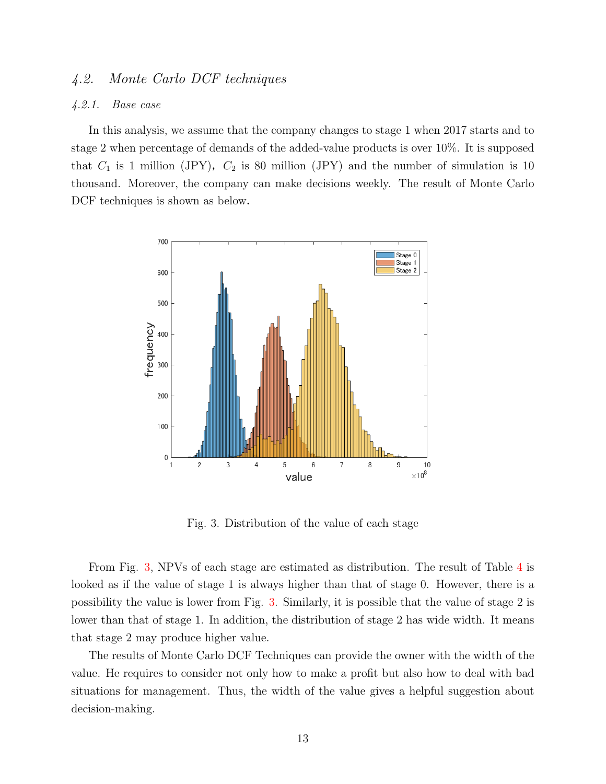## *4.2. Monte Carlo DCF techniques*

#### <span id="page-12-1"></span>*4.2.1. Base case*

In this analysis, we assume that the company changes to stage 1 when 2017 starts and to stage 2 when percentage of demands of the added-value products is over 10%. It is supposed that  $C_1$  is 1 million (JPY),  $C_2$  is 80 million (JPY) and the number of simulation is 10 thousand. Moreover, the company can make decisions weekly. The result of Monte Carlo DCF techniques is shown as below.



<span id="page-12-0"></span>Fig. 3. Distribution of the value of each stage

From Fig. [3,](#page-12-0) NPVs of each stage are estimated as distribution. The result of Table [4](#page-10-0) is looked as if the value of stage 1 is always higher than that of stage 0. However, there is a possibility the value is lower from Fig. [3.](#page-12-0) Similarly, it is possible that the value of stage 2 is lower than that of stage 1. In addition, the distribution of stage 2 has wide width. It means that stage 2 may produce higher value.

The results of Monte Carlo DCF Techniques can provide the owner with the width of the value. He requires to consider not only how to make a profit but also how to deal with bad situations for management. Thus, the width of the value gives a helpful suggestion about decision-making.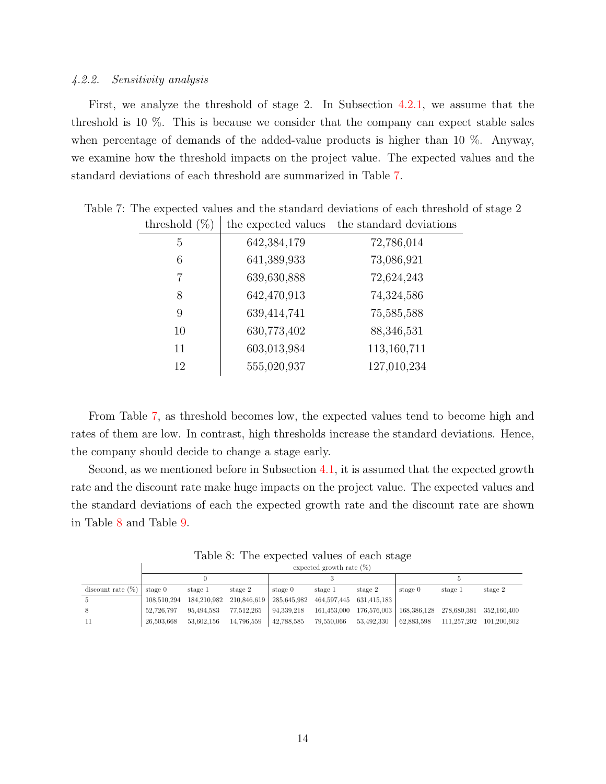#### *4.2.2. Sensitivity analysis*

First, we analyze the threshold of stage 2. In Subsection [4.2.1,](#page-12-1) we assume that the threshold is 10 %. This is because we consider that the company can expect stable sales when percentage of demands of the added-value products is higher than 10 %. Anyway, we examine how the threshold impacts on the project value. The expected values and the standard deviations of each threshold are summarized in Table [7.](#page-13-0)

<span id="page-13-0"></span>

| Testinia (50) | ule expected values | ult stalluaru utviation |
|---------------|---------------------|-------------------------|
| 5             | 642,384,179         | 72,786,014              |
| 6             | 641,389,933         | 73,086,921              |
| 7             | 639,630,888         | 72,624,243              |
| 8             | 642,470,913         | 74,324,586              |
| 9             | 639,414,741         | 75,585,588              |
| 10            | 630,773,402         | 88,346,531              |
| 11            | 603,013,984         | 113,160,711             |
| 12            | 555,020,937         | 127,010,234             |

Table 7: The expected values and the standard deviations of each threshold of stage 2 threshold  $(\%)$  the expected values the standard deviations

From Table [7,](#page-13-0) as threshold becomes low, the expected values tend to become high and rates of them are low. In contrast, high thresholds increase the standard deviations. Hence, the company should decide to change a stage early.

Second, as we mentioned before in Subsection [4.1,](#page-10-1) it is assumed that the expected growth rate and the discount rate make huge impacts on the project value. The expected values and the standard deviations of each the expected growth rate and the discount rate are shown in Table [8](#page-13-1) and Table [9.](#page-14-0)

<span id="page-13-1"></span>Table 8: The expected values of each stage expected growth rate (%)

|                              |             | expected growth rate $(\%)$                                 |            |            |                                          |                                                               |            |                         |         |  |  |  |  |  |
|------------------------------|-------------|-------------------------------------------------------------|------------|------------|------------------------------------------|---------------------------------------------------------------|------------|-------------------------|---------|--|--|--|--|--|
|                              |             |                                                             |            |            |                                          |                                                               |            |                         |         |  |  |  |  |  |
| discount rate $(\%)$ stage 0 |             | stage 1                                                     | stage 2    | stage $0$  | stage 1                                  | stage 2                                                       | stage 0    | stage 1                 | stage 2 |  |  |  |  |  |
| -5                           | 108.510.294 | 184,210,982 210,846,619 285,645,982 464,597,445 631,415,183 |            |            |                                          |                                                               |            |                         |         |  |  |  |  |  |
| 8                            | 52,726,797  | 95,494,583                                                  | 77,512,265 | 94,339,218 |                                          | 161,453,000 176,576,003   168,386,128 278,680,381 352,160,400 |            |                         |         |  |  |  |  |  |
| -11                          | 26,503,668  | 53.602.156                                                  | 14,796,559 |            | $\vert$ 42,788,585 79,550,066 53,492,330 |                                                               | 62,883,598 | 111,257,202 101,200,602 |         |  |  |  |  |  |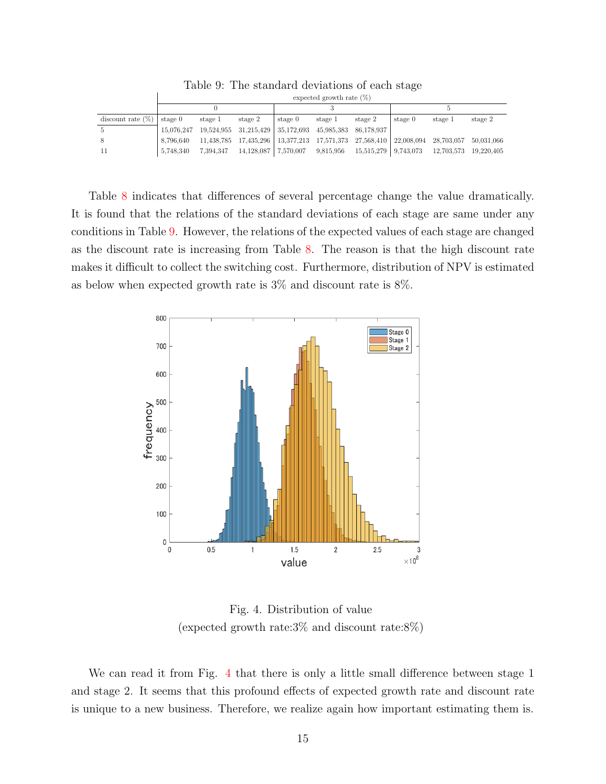|                      |           | expected growth rate $(\%)$ |                                                                                                             |         |         |         |         |         |         |  |  |  |  |  |
|----------------------|-----------|-----------------------------|-------------------------------------------------------------------------------------------------------------|---------|---------|---------|---------|---------|---------|--|--|--|--|--|
|                      |           |                             |                                                                                                             |         |         |         |         |         |         |  |  |  |  |  |
| discount rate $(\%)$ | stage 0   | stage 1                     | stage 2                                                                                                     | stage 0 | stage 1 | stage 2 | stage 0 | stage 1 | stage 2 |  |  |  |  |  |
| -5                   |           |                             | 15,076,247 19,524,955 31,215,429 35,172,693 45,985,383 86,178,937                                           |         |         |         |         |         |         |  |  |  |  |  |
| -8                   | 8.796.640 |                             | $11,438,785$ $17,435,296$   $13,377,213$ $17,571,373$ $27,568,410$   $22,008,094$ $28,703,057$ $50,031,066$ |         |         |         |         |         |         |  |  |  |  |  |
| -11                  | 5,748,340 |                             | 7,394,347 14,128,087 7,570,007 9,815,956 15,515,279 9,743,073 12,703,573 19,220,405                         |         |         |         |         |         |         |  |  |  |  |  |

<span id="page-14-0"></span>Table 9: The standard deviations of each stage

Table [8](#page-13-1) indicates that differences of several percentage change the value dramatically. It is found that the relations of the standard deviations of each stage are same under any conditions in Table [9.](#page-14-0) However, the relations of the expected values of each stage are changed as the discount rate is increasing from Table [8.](#page-13-1) The reason is that the high discount rate makes it difficult to collect the switching cost. Furthermore, distribution of NPV is estimated as below when expected growth rate is 3% and discount rate is 8%.



<span id="page-14-1"></span>Fig. 4. Distribution of value (expected growth rate:3% and discount rate:8%)

We can read it from Fig. [4](#page-14-1) that there is only a little small difference between stage 1 and stage 2. It seems that this profound effects of expected growth rate and discount rate is unique to a new business. Therefore, we realize again how important estimating them is.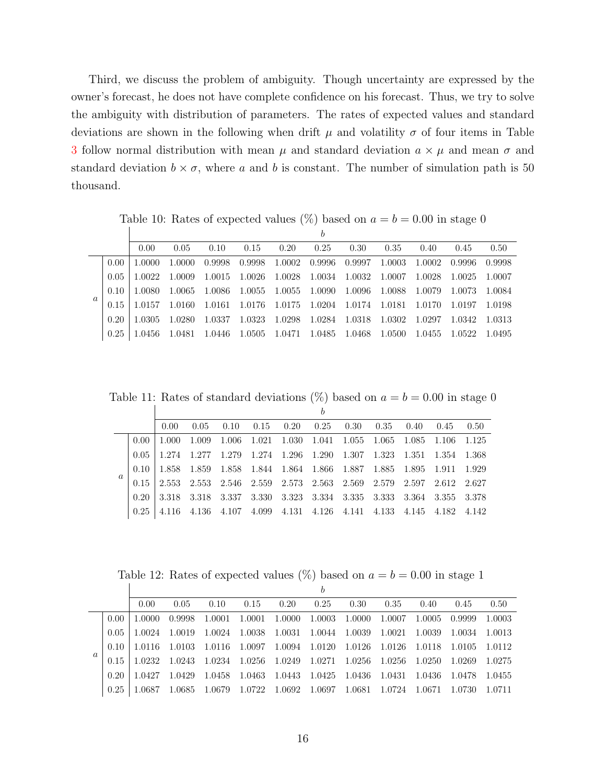Third, we discuss the problem of ambiguity. Though uncertainty are expressed by the owner's forecast, he does not have complete confidence on his forecast. Thus, we try to solve the ambiguity with distribution of parameters. The rates of expected values and standard deviations are shown in the following when drift  $\mu$  and volatility  $\sigma$  of four items in Table [3](#page-7-1) follow normal distribution with mean  $\mu$  and standard deviation  $a \times \mu$  and mean  $\sigma$  and standard deviation  $b \times \sigma$ , where *a* and *b* is constant. The number of simulation path is 50 thousand.

<span id="page-15-0"></span>Table 10: Rates of expected values  $(\%)$  based on  $a = b = 0.00$  in stage 0

|          |      | 0.00          | 0.05          | 0.10     | 0.15   | 0.20   | 0.25 | 0.30                               | 0.35 | 0.40       | 0.45       | 0.50     |
|----------|------|---------------|---------------|----------|--------|--------|------|------------------------------------|------|------------|------------|----------|
|          | 0.00 | 1.0000        | 1.0000        | 0.9998   | 0.9998 | 1.0002 |      | 0.9996 0.9997 1.0003               |      | 1.0002     | 0.9996     | 0.9998   |
|          | 0.05 | 1.0022 1.0009 |               | 1.0015   | 1.0026 | 1.0028 |      | 1.0034 1.0032 1.0007               |      | 1.0028     | 1.0025     | 1.0007   |
|          | 0.10 | -1.0080-      | 1.0065        | -1.0086- | 1.0055 |        |      | 1.0055 1.0090 1.0096 1.0088 1.0079 |      |            | - 1.0073 - | 1.0084   |
| $\alpha$ | 0.15 | 1 0157        | -1.0160-      | 1.0161   | 1.0176 |        |      | 1.0175 1.0204 1.0174 1.0181        |      | - 1.0170 - | - 1.0197   | -1.0198  |
|          | 0.20 | 1.0305        | -1.0280-      | 1.0337   | 1.0323 | 1.0298 |      | 1.0284 1.0318 1.0302               |      | 1.0297     | 1.0342     | - 1.0313 |
|          | 0.25 |               | 1.0456 1.0481 | 1.0446   | 1.0505 |        |      | 1.0471 1.0485 1.0468 1.0500        |      | 1.0455     | 1.0522     | 1.0495   |
|          |      |               |               |          |        |        |      |                                    |      |            |            |          |

Table 11: Rates of standard deviations  $(\%)$  based on  $a = b = 0.00$  in stage 0

<span id="page-15-2"></span>

|          |          |                |        |      |  | h                                                                                                                   |  |  |  |
|----------|----------|----------------|--------|------|--|---------------------------------------------------------------------------------------------------------------------|--|--|--|
|          |          | $0.00^{\circ}$ | 0.05   | 0.10 |  | $0.15$ $0.20$ $0.25$ $0.30$ $0.35$ $0.40$ $0.45$ $0.50$                                                             |  |  |  |
|          | $0.00 -$ | -1.000         | 1.009  |      |  | 1.006 1.021 1.030 1.041 1.055 1.065 1.085 1.106 1.125                                                               |  |  |  |
|          | 0.05     | 1 274          |        |      |  | 1.277 1.279 1.274 1.296 1.290 1.307 1.323 1.351 1.354 1.368                                                         |  |  |  |
|          | 0.10     | 1.858          |        |      |  | 1.859 1.858 1.844 1.864 1.866 1.887 1.885 1.895 1.911 1.929                                                         |  |  |  |
| $\alpha$ | 0.15     | 2.553          |        |      |  | $2.553 \quad 2.546 \quad 2.559 \quad 2.573 \quad 2.563 \quad 2.569 \quad 2.579 \quad 2.597 \quad 2.612 \quad 2.627$ |  |  |  |
|          | 0.20     | -3.318 -       |        |      |  | 3.318 3.337 3.330 3.323 3.334 3.335 3.333 3.364 3.355 3.378                                                         |  |  |  |
|          | 0.25     | 4.116          | -4.136 |      |  | 4.107 4.099 4.131 4.126 4.141 4.133 4.145 4.182 4.142                                                               |  |  |  |

<span id="page-15-1"></span>Table 12: Rates of expected values  $(\%)$  based on  $a = b = 0.00$  in stage 1

|          |      |        |          |        |        |        | b                    |        |        |         |        |          |
|----------|------|--------|----------|--------|--------|--------|----------------------|--------|--------|---------|--------|----------|
|          |      | 0.00   | 0.05     | 0.10   | 0.15   | 0.20   | 0.25                 | 0.30   | 0.35   | 0.40    | 0.45   | 0.50     |
|          | 0.00 | 1.0000 | 0.9998   | 1.0001 | 1.0001 | 1.0000 | 1.0003               | 1.0000 | 1.0007 | 1.0005  | 0.9999 | 1.0003   |
|          | 0.05 | 1.0024 | 1.0019   | 1.0024 | 1.0038 | 1.0031 | 1.0044 1.0039        |        | 1.0021 | 1.0039  | 1.0034 | 1.0013   |
|          | 0.10 | 1.0116 | -1.0103- | 1.0116 | 1.0097 |        | 1.0094 1.0120 1.0126 |        | 1.0126 | -1.0118 | 1.0105 | - 1.0112 |
| $\alpha$ | 0.15 | 1.0232 | 1.0243   | 1.0234 | 1.0256 | 1.0249 | 1.0271 1.0256        |        | 1.0256 | 1.0250  | 1.0269 | 1.0275   |
|          | 0.20 | 1.0427 | 1.0429   | 1.0458 | 1.0463 | 1.0443 | 1.0425 1.0436        |        | 1.0431 | 1.0436  | 1.0478 | 1.0455   |
|          | 0.25 | 1.0687 | 1.0685   | 1.0679 | 1.0722 | 1.0692 | 1.0697               | 1.0681 | 1.0724 | 1.0671  | 1.0730 | 1.0711   |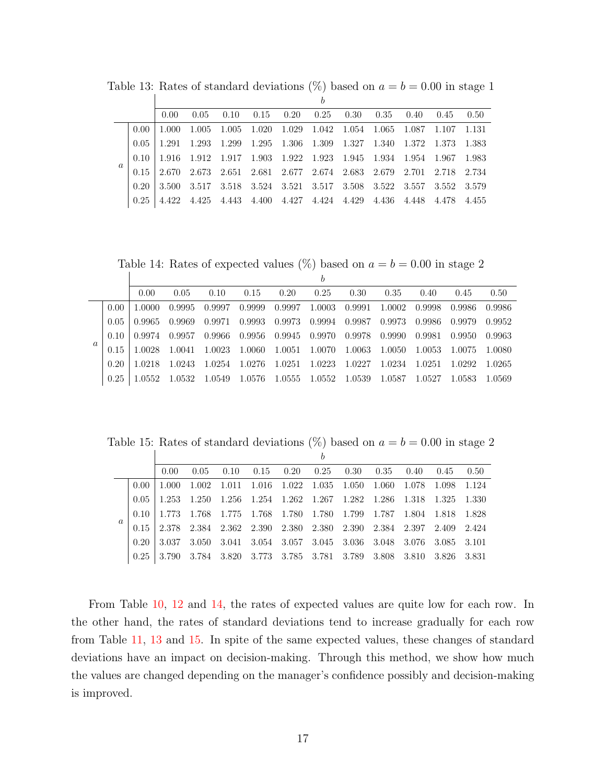<span id="page-16-1"></span>

|          |                   | 0.00     |  | $0.05$ $0.10$ $0.15$ $0.20$ $0.25$ $0.30$ $0.35$ $0.40$ $0.45$ $0.50$                                                           |  |  |  |  |
|----------|-------------------|----------|--|---------------------------------------------------------------------------------------------------------------------------------|--|--|--|--|
|          | 0.00 <sub>1</sub> | 1.000    |  | 1.005 1.005 1.020 1.029 1.042 1.054 1.065 1.087 1.107 1.131                                                                     |  |  |  |  |
|          | 0.05              |          |  | $1.291 \quad 1.293 \quad 1.299 \quad 1.295 \quad 1.306 \quad 1.309 \quad 1.327 \quad 1.340 \quad 1.372 \quad 1.373 \quad 1.383$ |  |  |  |  |
|          | (0.10)            |          |  | $1.916 \quad 1.912 \quad 1.917 \quad 1.903 \quad 1.922 \quad 1.923 \quad 1.945 \quad 1.934 \quad 1.954 \quad 1.967 \quad 1.983$ |  |  |  |  |
| $\alpha$ |                   | 2.670    |  | 2.673 2.651 2.681 2.677 2.674 2.683 2.679 2.701 2.718 2.734                                                                     |  |  |  |  |
|          | 0.20              | -3.500 - |  | 3.517 3.518 3.524 3.521 3.517 3.508 3.522 3.557 3.552 3.579                                                                     |  |  |  |  |
|          | 0.25              |          |  | $4.422\quad 4.425\quad 4.443\quad 4.400\quad 4.427\quad 4.424\quad 4.429\quad 4.436\quad 4.448\quad 4.478\quad 4.455$           |  |  |  |  |

Table 13: Rates of standard deviations  $\binom{6}{6}$  based on  $a = b = 0.00$  in stage 1

<span id="page-16-0"></span>Table 14: Rates of expected values (%) based on  $a = b = 0.00$  in stage 2

|                  |      | 0.00   | 0.05   | 0.10   | 0.15   | 0.20          | 0.25                 | 0.30   | 0.35   | 0.40   | 0.45   | 0.50   |
|------------------|------|--------|--------|--------|--------|---------------|----------------------|--------|--------|--------|--------|--------|
|                  | 0.00 | 1.0000 | 0.9995 | 0.9997 | 0.9999 |               | 0.9997 1.0003        | 0.9991 | 1.0002 | 0.9998 | 0.9986 | 0.9986 |
|                  | 0.05 | 0.9965 | 0.9969 | 0.9971 | 0.9993 |               | 0.9973 0.9994 0.9987 |        | 0.9973 | 0.9986 | 0.9979 | 0.9952 |
|                  | 0.10 | 0.9974 | 0.9957 | 0.9966 | 0.9956 | 0.9945 0.9970 |                      | 0.9978 | 0.9990 | 0.9981 | 0.9950 | 0.9963 |
| $\boldsymbol{a}$ |      | 1.0028 | 1.0041 | 1.0023 | 1.0060 | 1.0051        | 1.0070               | 1.0063 | 1.0050 | 1.0053 | 1.0075 | 1.0080 |
|                  | 0.20 | 1.0218 | 1.0243 | 1.0254 | 1.0276 |               | 1.0251 1.0223        | 1.0227 | 1.0234 | 1.0251 | 1.0292 | 1.0265 |
|                  | 0.25 | 1.0552 | 1.0532 | 1.0549 | 1.0576 | 1.0555        | 1.0552               | 1.0539 | 1.0587 | 1.0527 | 1.0583 | 1.0569 |

Table 15: Rates of standard deviations  $(\%)$  based on  $a = b = 0.00$  in stage 2

<span id="page-16-2"></span>

|          |      | $0.00 -$ | 0.05 | 0.10 | $0.15$ $0.20$ $0.25$ $0.30$ $0.35$ $0.40$ $0.45$                                                                    |  |  |  | 0.50 |
|----------|------|----------|------|------|---------------------------------------------------------------------------------------------------------------------|--|--|--|------|
|          | 0.00 | 1.000    |      |      | 1.002 1.011 1.016 1.022 1.035 1.050 1.060 1.078 1.098 1.124                                                         |  |  |  |      |
|          | 0.05 |          |      |      | 1.253 1.250 1.256 1.254 1.262 1.267 1.282 1.286 1.318 1.325 1.330                                                   |  |  |  |      |
|          | 0.10 | 1.773    |      |      | 1.768 1.775 1.768 1.780 1.780 1.799 1.787 1.804 1.818 1.828                                                         |  |  |  |      |
| $\alpha$ |      | 2.378    |      |      | $2.384 \quad 2.362 \quad 2.390 \quad 2.380 \quad 2.380 \quad 2.390 \quad 2.384 \quad 2.397 \quad 2.409 \quad 2.424$ |  |  |  |      |
|          | 0.20 | -3.037   |      |      | 3.050 3.041 3.054 3.057 3.045 3.036 3.048 3.076 3.085 3.101                                                         |  |  |  |      |
|          | 0.25 | -3.790   |      |      | 3.784 3.820 3.773 3.785 3.781 3.789 3.808 3.810 3.826 3.831                                                         |  |  |  |      |

From Table [10,](#page-15-0) [12](#page-15-1) and [14,](#page-16-0) the rates of expected values are quite low for each row. In the other hand, the rates of standard deviations tend to increase gradually for each row from Table [11,](#page-15-2) [13](#page-16-1) and [15.](#page-16-2) In spite of the same expected values, these changes of standard deviations have an impact on decision-making. Through this method, we show how much the values are changed depending on the manager's confidence possibly and decision-making is improved.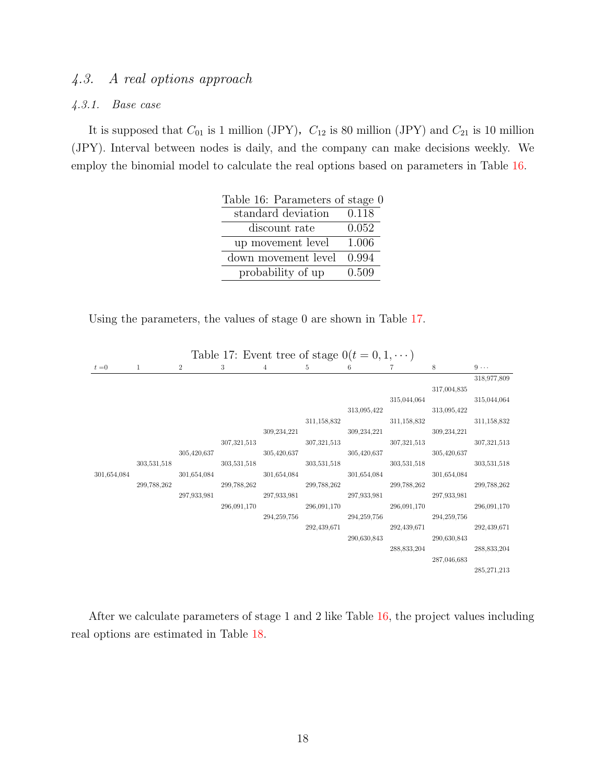## *4.3. A real options approach*

#### *4.3.1. Base case*

It is supposed that  $C_{01}$  is 1 million (JPY),  $C_{12}$  is 80 million (JPY) and  $C_{21}$  is 10 million (JPY). Interval between nodes is daily, and the company can make decisions weekly. We employ the binomial model to calculate the real options based on parameters in Table [16.](#page-17-0)

<span id="page-17-0"></span>

| Table 16: Parameters of stage 0 |       |
|---------------------------------|-------|
| standard deviation              | 0.118 |
| discount rate                   | 0.052 |
| up movement level               | 1.006 |
| down movement level             | 0.994 |
| probability of up               | 0.509 |

Using the parameters, the values of stage 0 are shown in Table [17.](#page-17-1)

|             |             |                | Table 17: Event tree of stage $0(t = 0, 1, \dots)$ |                |             |             |                             |             |               |
|-------------|-------------|----------------|----------------------------------------------------|----------------|-------------|-------------|-----------------------------|-------------|---------------|
| $t=0$       | 1           | $\overline{2}$ | 3                                                  | $\overline{4}$ | 5           | 6           | 7                           | 8           | $9 \cdots$    |
|             |             |                |                                                    |                |             |             |                             |             | 318,977,809   |
|             |             |                |                                                    |                |             |             |                             | 317,004,835 |               |
|             |             |                |                                                    |                |             |             |                             | 315,044,064 | 315,044,064   |
|             |             |                |                                                    |                |             |             | 313,095,422                 | 313,095,422 |               |
|             |             |                |                                                    |                |             | 311,158,832 |                             | 311,158,832 | 311,158,832   |
|             |             |                |                                                    | 309,234,221    |             |             | 309,234,221 309,234,221     |             |               |
|             |             |                |                                                    | 307,321,513    | 307,321,513 |             |                             | 307,321,513 | 307,321,513   |
|             |             |                | 305,420,637                                        |                | 305,420,637 |             | 305,420,637 305,420,637     |             |               |
|             | 303,531,518 |                |                                                    | 303,531,518    |             | 303,531,518 |                             | 303,531,518 | 303,531,518   |
| 301,654,084 |             |                | 301,654,084 301,654,084                            |                |             |             | $301,654,084$ $301,654,084$ |             |               |
|             | 299,788,262 |                |                                                    | 299,788,262    |             | 299,788,262 |                             | 299,788,262 | 299,788,262   |
|             |             |                | 297,933,981                                        |                | 297,933,981 |             | 297,933,981 297,933,981     |             |               |
|             |             |                |                                                    | 296,091,170    |             | 296,091,170 |                             | 296,091,170 | 296,091,170   |
|             |             |                |                                                    | 294,259,756    |             |             | 294,259,756 294,259,756     |             |               |
|             |             |                |                                                    |                | 292,439,671 |             |                             | 292,439,671 | 292,439,671   |
|             |             |                |                                                    |                |             |             | 290,630,843 290,630,843     |             |               |
|             |             |                |                                                    |                |             |             |                             | 288,833,204 | 288,833,204   |
|             |             |                |                                                    |                |             |             |                             | 287,046,683 |               |
|             |             |                |                                                    |                |             |             |                             |             | 285, 271, 213 |

<span id="page-17-1"></span>Table 17: Event tree of stage  $0(t-0, 1, \ldots)$ 

After we calculate parameters of stage 1 and 2 like Table [16,](#page-17-0) the project values including real options are estimated in Table [18.](#page-18-0)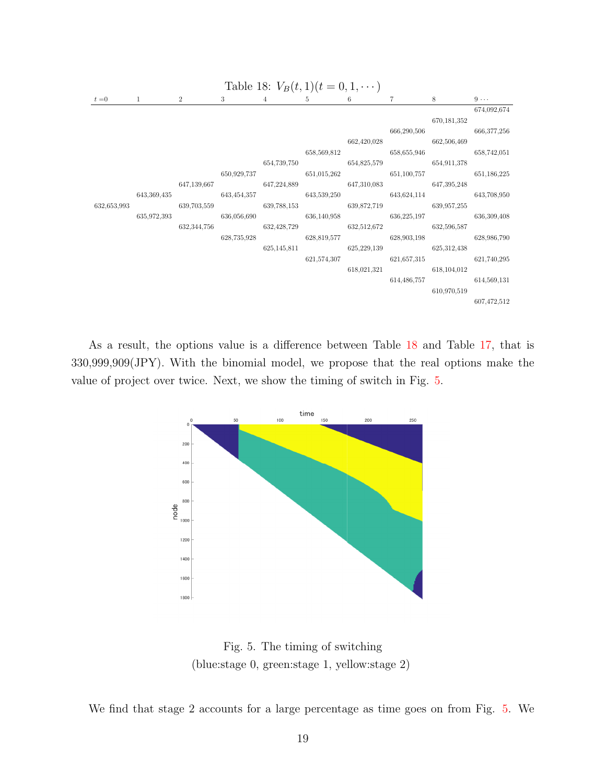<span id="page-18-0"></span>

As a result, the options value is a difference between Table [18](#page-18-0) and Table [17,](#page-17-1) that is 330,999,909(JPY). With the binomial model, we propose that the real options make the value of project over twice. Next, we show the timing of switch in Fig. [5.](#page-18-1)



<span id="page-18-1"></span>Fig. 5. The timing of switching (blue:stage 0, green:stage 1, yellow:stage 2)

We find that stage 2 accounts for a large percentage as time goes on from Fig. [5.](#page-18-1) We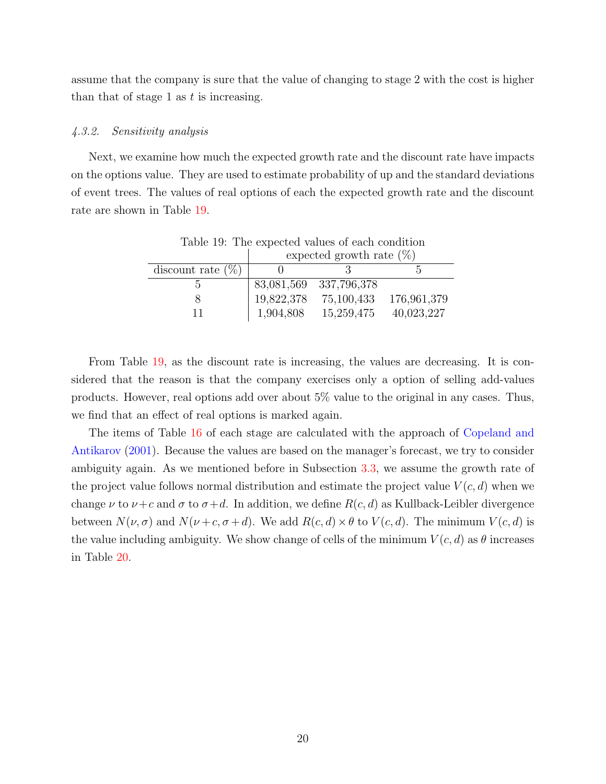assume that the company is sure that the value of changing to stage 2 with the cost is higher than that of stage 1 as *t* is increasing.

#### *4.3.2. Sensitivity analysis*

Next, we examine how much the expected growth rate and the discount rate have impacts on the options value. They are used to estimate probability of up and the standard deviations of event trees. The values of real options of each the expected growth rate and the discount rate are shown in Table [19.](#page-19-0)

<span id="page-19-0"></span>

| Table 19: The expected values of each condition |            |                             |             |  |  |  |  |  |  |  |
|-------------------------------------------------|------------|-----------------------------|-------------|--|--|--|--|--|--|--|
|                                                 |            | expected growth rate $(\%)$ |             |  |  |  |  |  |  |  |
| discount rate $(\%)$                            |            |                             |             |  |  |  |  |  |  |  |
| h,                                              |            | 83,081,569 337,796,378      |             |  |  |  |  |  |  |  |
|                                                 | 19,822,378 | 75,100,433                  | 176,961,379 |  |  |  |  |  |  |  |
| 11                                              | 1,904,808  | 15,259,475                  | 40,023,227  |  |  |  |  |  |  |  |

From Table [19,](#page-19-0) as the discount rate is increasing, the values are decreasing. It is considered that the reason is that the company exercises only a option of selling add-values products. However, real options add over about 5% value to the original in any cases. Thus, we find that an effect of real options is marked again.

The items of Table [16](#page-17-0) of each stage are calculated with the approach of [Copeland and](#page-21-4) [Antikarov](#page-21-4) [\(2001\)](#page-21-4). Because the values are based on the manager's forecast, we try to consider ambiguity again. As we mentioned before in Subsection [3.3,](#page-8-0) we assume the growth rate of the project value follows normal distribution and estimate the project value  $V(c, d)$  when we change  $\nu$  to  $\nu + c$  and  $\sigma$  to  $\sigma + d$ . In addition, we define  $R(c, d)$  as Kullback-Leibler divergence between  $N(\nu, \sigma)$  and  $N(\nu + c, \sigma + d)$ . We add  $R(c, d) \times \theta$  to  $V(c, d)$ . The minimum  $V(c, d)$  is the value including ambiguity. We show change of cells of the minimum  $V(c, d)$  as  $\theta$  increases in Table [20.](#page-20-0)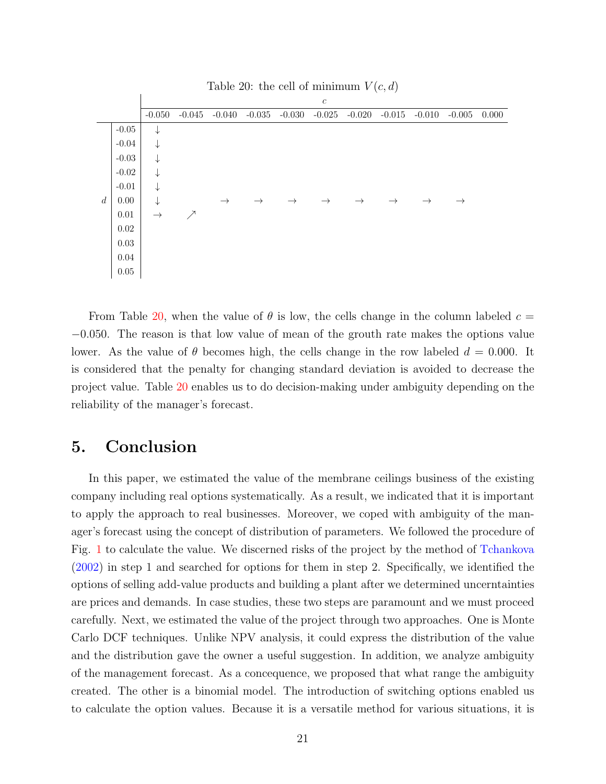|                  |          | rable 20. the cen or imminimum $v(0, w)$ |                  |               |               |               |               |               |               |               |               |       |
|------------------|----------|------------------------------------------|------------------|---------------|---------------|---------------|---------------|---------------|---------------|---------------|---------------|-------|
|                  |          |                                          | $\boldsymbol{c}$ |               |               |               |               |               |               |               |               |       |
|                  |          | $-0.050$                                 | $-0.045$         | $-0.040$      | $-0.035$      | $-0.030$      | $-0.025$      | $-0.020$      | $-0.015$      | $-0.010$      | $-0.005$      | 0.000 |
|                  | $-0.05$  | ↓                                        |                  |               |               |               |               |               |               |               |               |       |
|                  | $-0.04$  | $\downarrow$                             |                  |               |               |               |               |               |               |               |               |       |
|                  | $-0.03$  | $\downarrow$                             |                  |               |               |               |               |               |               |               |               |       |
|                  | $-0.02$  | $\downarrow$                             |                  |               |               |               |               |               |               |               |               |       |
|                  | $-0.01$  | $\downarrow$                             |                  |               |               |               |               |               |               |               |               |       |
| $\boldsymbol{d}$ | 0.00     | $\downarrow$                             |                  | $\rightarrow$ | $\rightarrow$ | $\rightarrow$ | $\rightarrow$ | $\rightarrow$ | $\rightarrow$ | $\rightarrow$ | $\rightarrow$ |       |
|                  | 0.01     | $\rightarrow$                            | ↗                |               |               |               |               |               |               |               |               |       |
|                  | 0.02     |                                          |                  |               |               |               |               |               |               |               |               |       |
|                  | 0.03     |                                          |                  |               |               |               |               |               |               |               |               |       |
|                  | 0.04     |                                          |                  |               |               |               |               |               |               |               |               |       |
|                  | $0.05\,$ |                                          |                  |               |               |               |               |               |               |               |               |       |

<span id="page-20-0"></span>Table 20: the cell of minimum  $V(c,d)$ 

From Table [20,](#page-20-0) when the value of  $\theta$  is low, the cells change in the column labeled  $c =$ *−*0*.*050. The reason is that low value of mean of the grouth rate makes the options value lower. As the value of  $\theta$  becomes high, the cells change in the row labeled  $d = 0.000$ . It is considered that the penalty for changing standard deviation is avoided to decrease the project value. Table [20](#page-20-0) enables us to do decision-making under ambiguity depending on the reliability of the manager's forecast.

## **5. Conclusion**

In this paper, we estimated the value of the membrane ceilings business of the existing company including real options systematically. As a result, we indicated that it is important to apply the approach to real businesses. Moreover, we coped with ambiguity of the manager's forecast using the concept of distribution of parameters. We followed the procedure of Fig. [1](#page-4-0) to calculate the value. We discerned risks of the project by the method of [Tchankova](#page-21-3) [\(2002\)](#page-21-3) in step 1 and searched for options for them in step 2. Specifically, we identified the options of selling add-value products and building a plant after we determined uncerntainties are prices and demands. In case studies, these two steps are paramount and we must proceed carefully. Next, we estimated the value of the project through two approaches. One is Monte Carlo DCF techniques. Unlike NPV analysis, it could express the distribution of the value and the distribution gave the owner a useful suggestion. In addition, we analyze ambiguity of the management forecast. As a concequence, we proposed that what range the ambiguity created. The other is a binomial model. The introduction of switching options enabled us to calculate the option values. Because it is a versatile method for various situations, it is